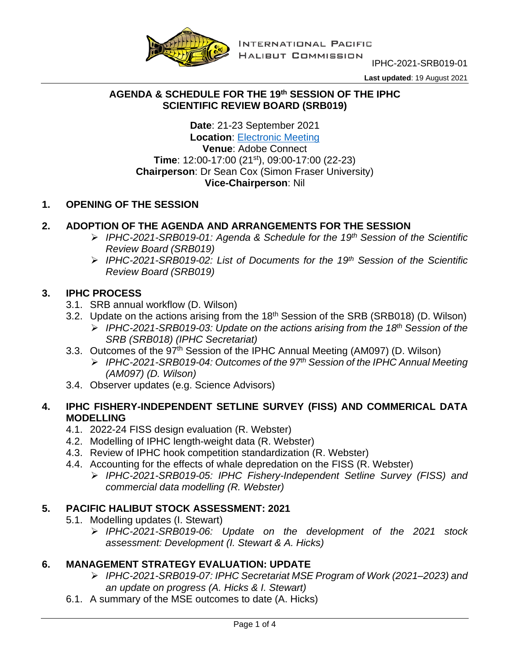

IPHC-2021-SRB019-01

**Last updated**: 19 August 2021

#### **AGENDA & SCHEDULE FOR THE 19th SESSION OF THE IPHC SCIENTIFIC REVIEW BOARD (SRB019)**

**Date**: 21-23 September 2021 **Location**: [Electronic Meeting](https://www.iphc.int/venues/details/19th-session-of-the-iphc-scientific-review-board-srb019) **Venue**: Adobe Connect **Time**: 12:00-17:00 (21st), 09:00-17:00 (22-23) **Chairperson**: Dr Sean Cox (Simon Fraser University) **Vice-Chairperson**: Nil

# **1. OPENING OF THE SESSION**

# **2. ADOPTION OF THE AGENDA AND ARRANGEMENTS FOR THE SESSION**

- *IPHC-2021-SRB019-01: Agenda & Schedule for the 19th Session of the Scientific Review Board (SRB019)*
- *IPHC-2021-SRB019-02: List of Documents for the 19th Session of the Scientific Review Board (SRB019)*

#### **3. IPHC PROCESS**

- 3.1. SRB annual workflow (D. Wilson)
- 3.2. Update on the actions arising from the 18<sup>th</sup> Session of the SRB (SRB018) (D. Wilson)
	- *IPHC-2021-SRB019-03: Update on the actions arising from the 18th Session of the SRB (SRB018) (IPHC Secretariat)*
- 3.3. Outcomes of the 97<sup>th</sup> Session of the IPHC Annual Meeting (AM097) (D. Wilson)
	- *IPHC-2021-SRB019-04: Outcomes of the 97th Session of the IPHC Annual Meeting (AM097) (D. Wilson)*
- 3.4. Observer updates (e.g. Science Advisors)

# **4. IPHC FISHERY-INDEPENDENT SETLINE SURVEY (FISS) AND COMMERICAL DATA MODELLING**

- 4.1. 2022-24 FISS design evaluation (R. Webster)
- 4.2. Modelling of IPHC length-weight data (R. Webster)
- 4.3. Review of IPHC hook competition standardization (R. Webster)
- 4.4. Accounting for the effects of whale depredation on the FISS (R. Webster)
	- *IPHC-2021-SRB019-05: IPHC Fishery-Independent Setline Survey (FISS) and commercial data modelling (R. Webster)*

#### **5. PACIFIC HALIBUT STOCK ASSESSMENT: 2021**

- 5.1. Modelling updates (I. Stewart)
	- *IPHC-2021-SRB019-06: Update on the development of the 2021 stock assessment: Development (I. Stewart & A. Hicks)*

# **6. MANAGEMENT STRATEGY EVALUATION: UPDATE**

- *IPHC-2021-SRB019-07: IPHC Secretariat MSE Program of Work (2021–2023) and an update on progress (A. Hicks & I. Stewart)*
- 6.1. A summary of the MSE outcomes to date (A. Hicks)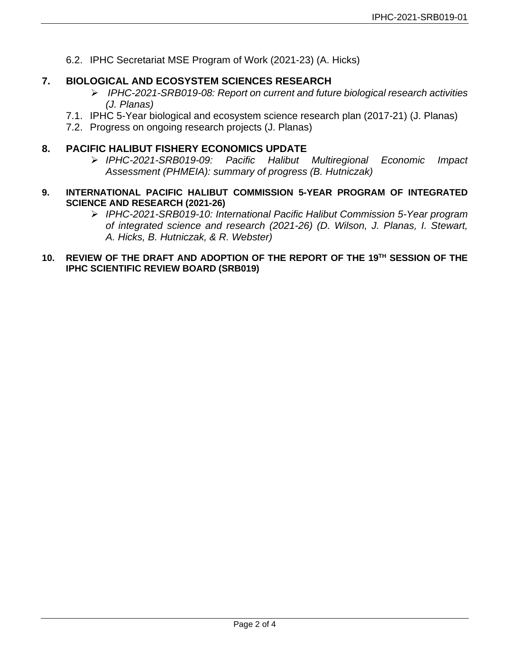6.2. IPHC Secretariat MSE Program of Work (2021-23) (A. Hicks)

# **7. BIOLOGICAL AND ECOSYSTEM SCIENCES RESEARCH**

- *IPHC-2021-SRB019-08: Report on current and future biological research activities (J. Planas)*
- 7.1. IPHC 5-Year biological and ecosystem science research plan (2017-21) (J. Planas)
- 7.2. Progress on ongoing research projects (J. Planas)

# **8. PACIFIC HALIBUT FISHERY ECONOMICS UPDATE**

- *IPHC-2021-SRB019-09: Pacific Halibut Multiregional Economic Impact Assessment (PHMEIA): summary of progress (B. Hutniczak)*
- **9. INTERNATIONAL PACIFIC HALIBUT COMMISSION 5-YEAR PROGRAM OF INTEGRATED SCIENCE AND RESEARCH (2021-26)**
	- *IPHC-2021-SRB019-10: International Pacific Halibut Commission 5-Year program of integrated science and research (2021-26) (D. Wilson, J. Planas, I. Stewart, A. Hicks, B. Hutniczak, & R. Webster)*
- **10. REVIEW OF THE DRAFT AND ADOPTION OF THE REPORT OF THE 19TH SESSION OF THE IPHC SCIENTIFIC REVIEW BOARD (SRB019)**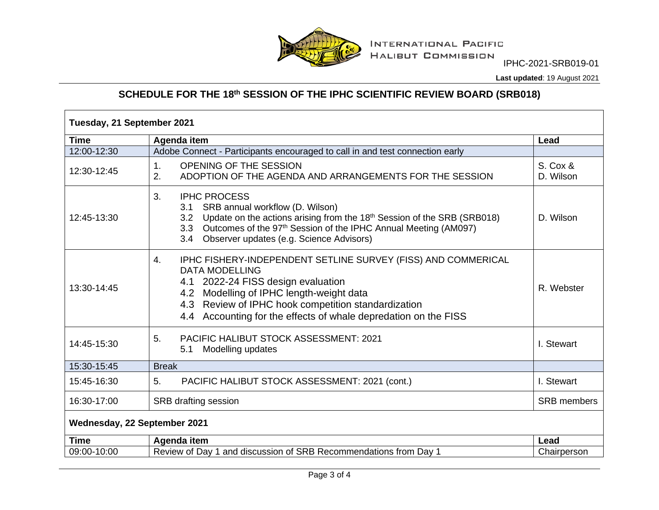

IPHC-2021-SRB019-01

**Last updated**: 19 August 2021

# **SCHEDULE FOR THE 18th SESSION OF THE IPHC SCIENTIFIC REVIEW BOARD (SRB018)**

| <b>Time</b> | Agenda item                                                                                                                                                                                                                                                                                              | Lead                  |
|-------------|----------------------------------------------------------------------------------------------------------------------------------------------------------------------------------------------------------------------------------------------------------------------------------------------------------|-----------------------|
| 12:00-12:30 | Adobe Connect - Participants encouraged to call in and test connection early                                                                                                                                                                                                                             |                       |
| 12:30-12:45 | 1.<br>OPENING OF THE SESSION<br>2.<br>ADOPTION OF THE AGENDA AND ARRANGEMENTS FOR THE SESSION                                                                                                                                                                                                            | S. Cox &<br>D. Wilson |
| 12:45-13:30 | <b>IPHC PROCESS</b><br>3.<br>SRB annual workflow (D. Wilson)<br>3.1<br>3.2 Update on the actions arising from the 18 <sup>th</sup> Session of the SRB (SRB018)<br>3.3 Outcomes of the 97 <sup>th</sup> Session of the IPHC Annual Meeting (AM097)<br>3.4 Observer updates (e.g. Science Advisors)        | D. Wilson             |
| 13:30-14:45 | IPHC FISHERY-INDEPENDENT SETLINE SURVEY (FISS) AND COMMERICAL<br>4.<br><b>DATA MODELLING</b><br>4.1 2022-24 FISS design evaluation<br>4.2 Modelling of IPHC length-weight data<br>4.3 Review of IPHC hook competition standardization<br>4.4 Accounting for the effects of whale depredation on the FISS | R. Webster            |
| 14:45-15:30 | <b>PACIFIC HALIBUT STOCK ASSESSMENT: 2021</b><br>5.<br>Modelling updates<br>5.1                                                                                                                                                                                                                          | I. Stewart            |
| 15:30-15:45 | <b>Break</b>                                                                                                                                                                                                                                                                                             |                       |
| 15:45-16:30 | PACIFIC HALIBUT STOCK ASSESSMENT: 2021 (cont.)<br>5.                                                                                                                                                                                                                                                     | I. Stewart            |
| 16:30-17:00 | SRB drafting session                                                                                                                                                                                                                                                                                     | <b>SRB</b> members    |
|             | Wednesday, 22 September 2021                                                                                                                                                                                                                                                                             |                       |
| <b>Time</b> | Agenda item                                                                                                                                                                                                                                                                                              | Lead                  |
| 09:00-10:00 | Review of Day 1 and discussion of SRB Recommendations from Day 1                                                                                                                                                                                                                                         | Chairperson           |